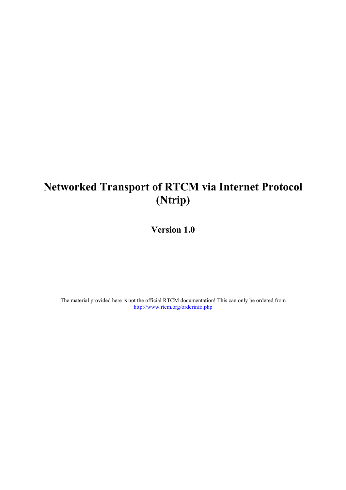# **Networked Transport of RTCM via Internet Protocol (Ntrip)**

**Version 1.0** 

The material provided here is not the official RTCM documentation! This can only be ordered from http://www.rtcm.org/orderinfo.php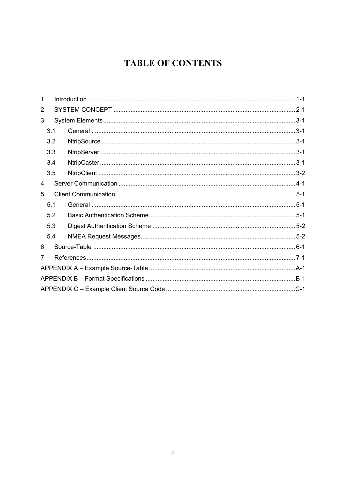# **TABLE OF CONTENTS**

| 1              |  |
|----------------|--|
| 2              |  |
| 3              |  |
| 3.1            |  |
| 3.2            |  |
| 3.3            |  |
| 3.4            |  |
| 3.5            |  |
| 4              |  |
| 5              |  |
| 5 <sub>1</sub> |  |
| 5.2            |  |
| 5.3            |  |
| 5.4            |  |
| 6              |  |
| 7              |  |
|                |  |
|                |  |
|                |  |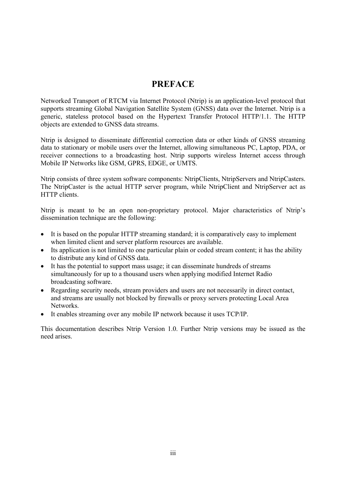## **PREFACE**

Networked Transport of RTCM via Internet Protocol (Ntrip) is an application-level protocol that supports streaming Global Navigation Satellite System (GNSS) data over the Internet. Ntrip is a generic, stateless protocol based on the Hypertext Transfer Protocol HTTP/1.1. The HTTP objects are extended to GNSS data streams.

Ntrip is designed to disseminate differential correction data or other kinds of GNSS streaming data to stationary or mobile users over the Internet, allowing simultaneous PC, Laptop, PDA, or receiver connections to a broadcasting host. Ntrip supports wireless Internet access through Mobile IP Networks like GSM, GPRS, EDGE, or UMTS.

Ntrip consists of three system software components: NtripClients, NtripServers and NtripCasters. The NtripCaster is the actual HTTP server program, while NtripClient and NtripServer act as HTTP clients.

Ntrip is meant to be an open non-proprietary protocol. Major characteristics of Ntrip's dissemination technique are the following:

- It is based on the popular HTTP streaming standard; it is comparatively easy to implement when limited client and server platform resources are available.
- Its application is not limited to one particular plain or coded stream content; it has the ability to distribute any kind of GNSS data.
- It has the potential to support mass usage; it can disseminate hundreds of streams simultaneously for up to a thousand users when applying modified Internet Radio broadcasting software.
- Regarding security needs, stream providers and users are not necessarily in direct contact, and streams are usually not blocked by firewalls or proxy servers protecting Local Area Networks.
- It enables streaming over any mobile IP network because it uses TCP/IP.

This documentation describes Ntrip Version 1.0. Further Ntrip versions may be issued as the need arises.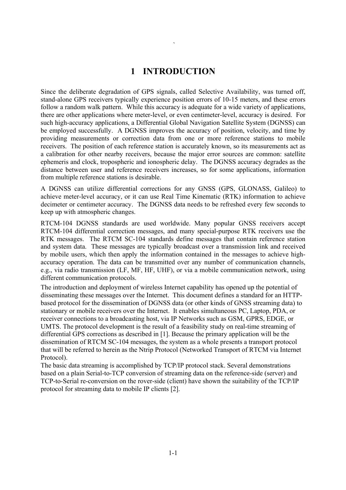## **1 INTRODUCTION**

the contract of the contract of the contract of the contract of the contract of the contract of the contract of

Since the deliberate degradation of GPS signals, called Selective Availability, was turned off, stand-alone GPS receivers typically experience position errors of 10-15 meters, and these errors follow a random walk pattern. While this accuracy is adequate for a wide variety of applications, there are other applications where meter-level, or even centimeter-level, accuracy is desired. For such high-accuracy applications, a Differential Global Navigation Satellite System (DGNSS) can be employed successfully. A DGNSS improves the accuracy of position, velocity, and time by providing measurements or correction data from one or more reference stations to mobile receivers. The position of each reference station is accurately known, so its measurements act as a calibration for other nearby receivers, because the major error sources are common: satellite ephemeris and clock, tropospheric and ionospheric delay. The DGNSS accuracy degrades as the distance between user and reference receivers increases, so for some applications, information from multiple reference stations is desirable.

A DGNSS can utilize differential corrections for any GNSS (GPS, GLONASS, Galileo) to achieve meter-level accuracy, or it can use Real Time Kinematic (RTK) information to achieve decimeter or centimeter accuracy. The DGNSS data needs to be refreshed every few seconds to keep up with atmospheric changes.

RTCM-104 DGNSS standards are used worldwide. Many popular GNSS receivers accept RTCM-104 differential correction messages, and many special-purpose RTK receivers use the RTK messages. The RTCM SC-104 standards define messages that contain reference station and system data. These messages are typically broadcast over a transmission link and received by mobile users, which then apply the information contained in the messages to achieve highaccuracy operation. The data can be transmitted over any number of communication channels, e.g., via radio transmission (LF, MF, HF, UHF), or via a mobile communication network, using different communication protocols.

The introduction and deployment of wireless Internet capability has opened up the potential of disseminating these messages over the Internet. This document defines a standard for an HTTPbased protocol for the dissemination of DGNSS data (or other kinds of GNSS streaming data) to stationary or mobile receivers over the Internet. It enables simultaneous PC, Laptop, PDA, or receiver connections to a broadcasting host, via IP Networks such as GSM, GPRS, EDGE, or UMTS. The protocol development is the result of a feasibility study on real-time streaming of differential GPS corrections as described in [1]. Because the primary application will be the dissemination of RTCM SC-104 messages, the system as a whole presents a transport protocol that will be referred to herein as the Ntrip Protocol (Networked Transport of RTCM via Internet Protocol).

The basic data streaming is accomplished by TCP/IP protocol stack. Several demonstrations based on a plain Serial-to-TCP conversion of streaming data on the reference-side (server) and TCP-to-Serial re-conversion on the rover-side (client) have shown the suitability of the TCP/IP protocol for streaming data to mobile IP clients [2].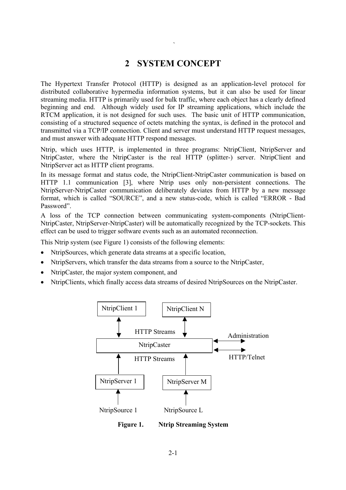# **2 SYSTEM CONCEPT**

The Hypertext Transfer Protocol (HTTP) is designed as an application-level protocol for distributed collaborative hypermedia information systems, but it can also be used for linear streaming media. HTTP is primarily used for bulk traffic, where each object has a clearly defined beginning and end. Although widely used for IP streaming applications, which include the RTCM application, it is not designed for such uses. The basic unit of HTTP communication, consisting of a structured sequence of octets matching the syntax, is defined in the protocol and transmitted via a TCP/IP connection. Client and server must understand HTTP request messages, and must answer with adequate HTTP respond messages.

Ntrip, which uses HTTP, is implemented in three programs: NtripClient, NtripServer and NtripCaster, where the NtripCaster is the real HTTP (splitter-) server. NtripClient and NtripServer act as HTTP client programs.

In its message format and status code, the NtripClient-NtripCaster communication is based on HTTP 1.1 communication [3], where Ntrip uses only non-persistent connections. The NtripServer-NtripCaster communication deliberately deviates from HTTP by a new message format, which is called "SOURCE", and a new status-code, which is called "ERROR - Bad Password".

A loss of the TCP connection between communicating system-components (NtripClient-NtripCaster, NtripServer-NtripCaster) will be automatically recognized by the TCP-sockets. This effect can be used to trigger software events such as an automated reconnection.

This Ntrip system (see Figure 1) consists of the following elements:

- NtripSources, which generate data streams at a specific location,
- NtripServers, which transfer the data streams from a source to the NtripCaster,
- NtripCaster, the major system component, and

the contract of the contract of the contract of the contract of the contract of the contract of the contract of

• NtripClients, which finally access data streams of desired NtripSources on the NtripCaster.



**Figure 1. Ntrip Streaming System**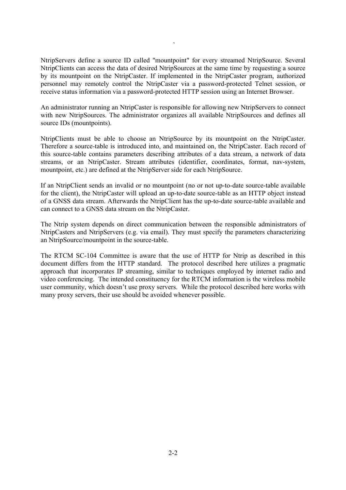NtripServers define a source ID called "mountpoint" for every streamed NtripSource. Several NtripClients can access the data of desired NtripSources at the same time by requesting a source by its mountpoint on the NtripCaster. If implemented in the NtripCaster program, authorized personnel may remotely control the NtripCaster via a password-protected Telnet session, or receive status information via a password-protected HTTP session using an Internet Browser.

the contract of the contract of the contract of the contract of the contract of the contract of the contract of

An administrator running an NtripCaster is responsible for allowing new NtripServers to connect with new NtripSources. The administrator organizes all available NtripSources and defines all source IDs (mountpoints).

NtripClients must be able to choose an NtripSource by its mountpoint on the NtripCaster. Therefore a source-table is introduced into, and maintained on, the NtripCaster. Each record of this source-table contains parameters describing attributes of a data stream, a network of data streams, or an NtripCaster. Stream attributes (identifier, coordinates, format, nav-system, mountpoint, etc.) are defined at the NtripServer side for each NtripSource.

If an NtripClient sends an invalid or no mountpoint (no or not up-to-date source-table available for the client), the NtripCaster will upload an up-to-date source-table as an HTTP object instead of a GNSS data stream. Afterwards the NtripClient has the up-to-date source-table available and can connect to a GNSS data stream on the NtripCaster.

The Ntrip system depends on direct communication between the responsible administrators of NtripCasters and NtripServers (e.g. via email). They must specify the parameters characterizing an NtripSource/mountpoint in the source-table.

The RTCM SC-104 Committee is aware that the use of HTTP for Ntrip as described in this document differs from the HTTP standard. The protocol described here utilizes a pragmatic approach that incorporates IP streaming, similar to techniques employed by internet radio and video conferencing. The intended constituency for the RTCM information is the wireless mobile user community, which doesn't use proxy servers. While the protocol described here works with many proxy servers, their use should be avoided whenever possible.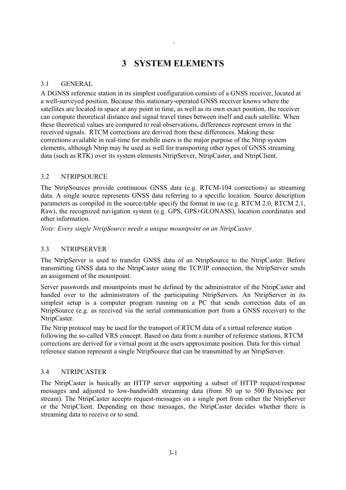# **3 SYSTEM ELEMENTS**

### 3.1 GENERAL

the contract of the contract of the contract of the contract of the contract of the contract of the contract of

A DGNSS reference station in its simplest configuration consists of a GNSS receiver, located at a well-surveyed position. Because this stationary-operated GNSS receiver knows where the satellites are located in space at any point in time, as well as its own exact position, the receiver can compute theoretical distance and signal travel times between itself and each satellite. When these theoretical values are compared to real observations, differences represent errors in the received signals. RTCM corrections are derived from these differences. Making these corrections available in real-time for mobile users is the major purpose of the Ntrip system elements, although Ntrip may be used as well for transporting other types of GNSS streaming data (such as RTK) over its system elements NtripServer, NtripCaster, and NtripClient.

### 3.2 NTRIPSOURCE

The NtripSources provide continuous GNSS data (e.g. RTCM-104 corrections) as streaming data. A single source represents GNSS data referring to a specific location. Source description parameters as compiled in the source-table specify the format in use (e.g. RTCM 2.0, RTCM 2.1, Raw), the recognized navigation system (e.g. GPS, GPS+GLONASS), location coordinates and other information.

*Note: Every single NtripSource needs a unique mountpoint on an NtripCaster.*

### 3.3 NTRIPSERVER

The NtripServer is used to transfer GNSS data of an NtripSource to the NtripCaster. Before transmitting GNSS data to the NtripCaster using the TCP/IP connection, the NtripServer sends an assignment of the mountpoint.

Server passwords and mountpoints must be defined by the administrator of the NtripCaster and handed over to the administrators of the participating NtripServers. An NtripServer in its simplest setup is a computer program running on a PC that sends correction data of an NtripSource (e.g. as received via the serial communication port from a GNSS receiver) to the NtripCaster.

The Ntrip protocol may be used for the transport of RTCM data of a virtual reference station following the so-called VRS concept. Based on data from a number of reference stations, RTCM corrections are derived for a virtual point at the users approximate position. Data for this virtual reference station represent a single NtripSource that can be transmitted by an NtripServer.

### 3.4 NTRIPCASTER

The NtripCaster is basically an HTTP server supporting a subset of HTTP request/response messages and adjusted to low-bandwidth streaming data (from 50 up to 500 Bytes/sec per stream). The NtripCaster accepts request-messages on a single port from either the NtripServer or the NtripClient. Depending on these messages, the NtripCaster decides whether there is streaming data to receive or to send.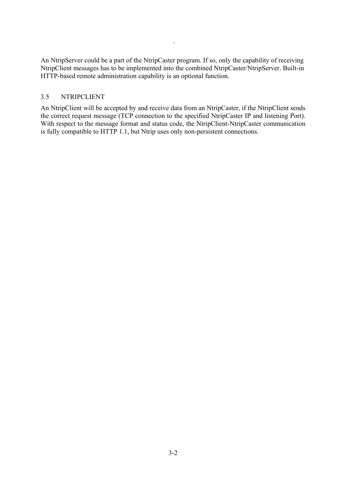An NtripServer could be a part of the NtripCaster program. If so, only the capability of receiving NtripClient messages has to be implemented into the combined NtripCaster/NtripServer. Built-in HTTP-based remote administration capability is an optional function.

#### 3.5 NTRIPCLIENT

the contract of the contract of the contract of the contract of the contract of the contract of the contract of

An NtripClient will be accepted by and receive data from an NtripCaster, if the NtripClient sends the correct request message (TCP connection to the specified NtripCaster IP and listening Port). With respect to the message format and status code, the NtripClient-NtripCaster communication is fully compatible to HTTP 1.1, but Ntrip uses only non-persistent connections.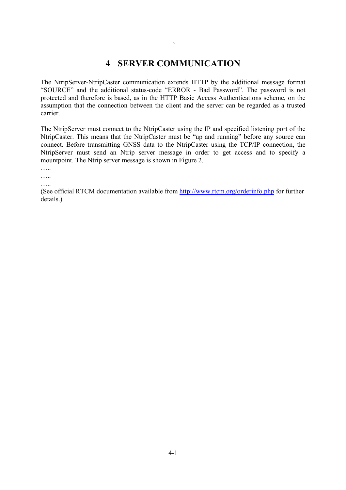# **4 SERVER COMMUNICATION**

the contract of the contract of the contract of the contract of the contract of the contract of the contract of

The NtripServer-NtripCaster communication extends HTTP by the additional message format "SOURCE" and the additional status-code "ERROR - Bad Password". The password is not protected and therefore is based, as in the HTTP Basic Access Authentications scheme, on the assumption that the connection between the client and the server can be regarded as a trusted carrier.

The NtripServer must connect to the NtripCaster using the IP and specified listening port of the NtripCaster. This means that the NtripCaster must be "up and running" before any source can connect. Before transmitting GNSS data to the NtripCaster using the TCP/IP connection, the NtripServer must send an Ntrip server message in order to get access and to specify a mountpoint. The Ntrip server message is shown in Figure 2.

….<br>……

…<br>……

…..

(See official RTCM documentation available from http://www.rtcm.org/orderinfo.php for further details.)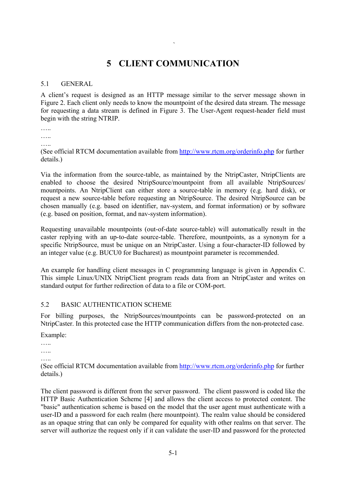# **5 CLIENT COMMUNICATION**

### 5.1 GENERAL

the contract of the contract of the contract of the contract of the contract of the contract of the contract of

A client's request is designed as an HTTP message similar to the server message shown in Figure 2. Each client only needs to know the mountpoint of the desired data stream. The message for requesting a data stream is defined in Figure 3. The User-Agent request-header field must begin with the string NTRIP.

…..

…<br>…… …..

(See official RTCM documentation available from http://www.rtcm.org/orderinfo.php for further details.)

Via the information from the source-table, as maintained by the NtripCaster, NtripClients are enabled to choose the desired NtripSource/mountpoint from all available NtripSources/ mountpoints. An NtripClient can either store a source-table in memory (e.g. hard disk), or request a new source-table before requesting an NtripSource. The desired NtripSource can be chosen manually (e.g. based on identifier, nav-system, and format information) or by software (e.g. based on position, format, and nav-system information).

Requesting unavailable mountpoints (out-of-date source-table) will automatically result in the caster replying with an up-to-date source-table. Therefore, mountpoints, as a synonym for a specific NtripSource, must be unique on an NtripCaster. Using a four-character-ID followed by an integer value (e.g. BUCU0 for Bucharest) as mountpoint parameter is recommended.

An example for handling client messages in C programming language is given in Appendix C. This simple Linux/UNIX NtripClient program reads data from an NtripCaster and writes on standard output for further redirection of data to a file or COM-port.

### 5.2 BASIC AUTHENTICATION SCHEME

For billing purposes, the NtripSources/mountpoints can be password-protected on an NtripCaster. In this protected case the HTTP communication differs from the non-protected case.

Example:

…..

…..

…… (See official RTCM documentation available from http://www.rtcm.org/orderinfo.php for further details.)

The client password is different from the server password. The client password is coded like the HTTP Basic Authentication Scheme [4] and allows the client access to protected content. The "basic" authentication scheme is based on the model that the user agent must authenticate with a user-ID and a password for each realm (here mountpoint). The realm value should be considered as an opaque string that can only be compared for equality with other realms on that server. The server will authorize the request only if it can validate the user-ID and password for the protected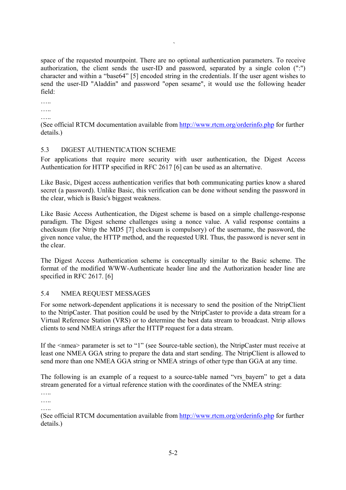space of the requested mountpoint. There are no optional authentication parameters. To receive authorization, the client sends the user-ID and password, separated by a single colon (":") character and within a "base64" [5] encoded string in the credentials. If the user agent wishes to send the user-ID "Aladdin" and password "open sesame", it would use the following header field:

….. …<br>……

…..

(See official RTCM documentation available from http://www.rtcm.org/orderinfo.php for further details.)

### 5.3 DIGEST AUTHENTICATION SCHEME

the contract of the contract of the contract of the contract of the contract of the contract of the contract of

For applications that require more security with user authentication, the Digest Access Authentication for HTTP specified in RFC 2617 [6] can be used as an alternative.

Like Basic, Digest access authentication verifies that both communicating parties know a shared secret (a password). Unlike Basic, this verification can be done without sending the password in the clear, which is Basic's biggest weakness.

Like Basic Access Authentication, the Digest scheme is based on a simple challenge-response paradigm. The Digest scheme challenges using a nonce value. A valid response contains a checksum (for Ntrip the MD5 [7] checksum is compulsory) of the username, the password, the given nonce value, the HTTP method, and the requested URI. Thus, the password is never sent in the clear.

The Digest Access Authentication scheme is conceptually similar to the Basic scheme. The format of the modified WWW-Authenticate header line and the Authorization header line are specified in RFC 2617. [6]

### 5.4 NMEA REQUEST MESSAGES

For some network-dependent applications it is necessary to send the position of the NtripClient to the NtripCaster. That position could be used by the NtripCaster to provide a data stream for a Virtual Reference Station (VRS) or to determine the best data stream to broadcast. Ntrip allows clients to send NMEA strings after the HTTP request for a data stream.

If the <nmea> parameter is set to "1" (see Source-table section), the NtripCaster must receive at least one NMEA GGA string to prepare the data and start sending. The NtripClient is allowed to send more than one NMEA GGA string or NMEA strings of other type than GGA at any time.

The following is an example of a request to a source-table named "vrs bayern" to get a data stream generated for a virtual reference station with the coordinates of the NMEA string:

…..

…..

(See official RTCM documentation available from http://www.rtcm.org/orderinfo.php for further details.)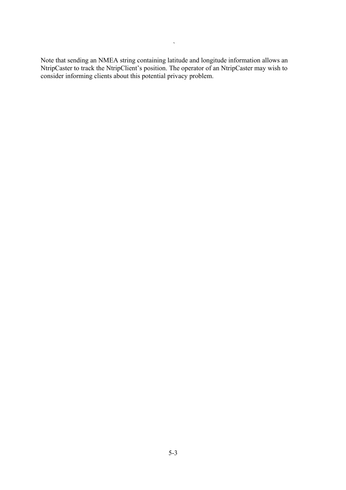Note that sending an NMEA string containing latitude and longitude information allows an NtripCaster to track the NtripClient's position. The operator of an NtripCaster may wish to consider informing clients about this potential privacy problem.

the contract of the contract of the contract of the contract of the contract of the contract of the contract of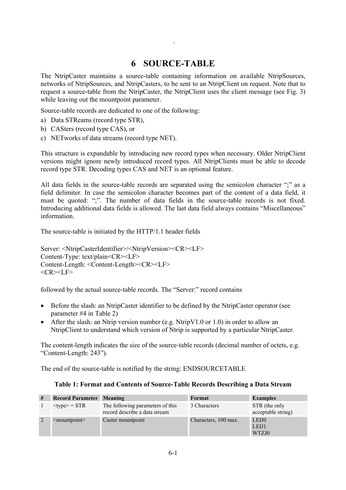# **6 SOURCE-TABLE**

The NtripCaster maintains a source-table containing information on available NtripSources, networks of NtripSources, and NtripCasters, to be sent to an NtripClient on request. Note that to request a source-table from the NtripCaster, the NtripClient uses the client message (see Fig. 3) while leaving out the mountpoint parameter.

Source-table records are dedicated to one of the following:

- a) Data STReams (record type STR),
- b) CASters (record type CAS), or
- c) NETworks of data streams (record type NET).

the contract of the contract of the contract of the contract of the contract of the contract of the contract of

This structure is expandable by introducing new record types when necessary. Older NtripClient versions might ignore newly introduced record types. All NtripClients must be able to decode record type STR. Decoding types CAS and NET is an optional feature.

All data fields in the source-table records are separated using the semicolon character ";" as a field delimiter. In case the semicolon character becomes part of the content of a data field, it must be quoted: ";". The number of data fields in the source-table records is not fixed. Introducing additional data fields is allowed. The last data field always contains "Miscellaneous" information.

The source-table is initiated by the HTTP/1.1 header fields

Server: <NtripCasterIdentifier>/<NtripVersion><CR><LF> Content-Type: text/plain<CR><LF> Content-Length: <Content-Length><CR><LF>  $<$ CR $>$  $<$ LF $>$ 

followed by the actual source-table records. The "Server:" record contains

- Before the slash: an NtripCaster identifier to be defined by the NtripCaster operator (see parameter #4 in Table 2)
- After the slash: an Ntrip version number (e.g. NtripV1.0 or 1.0) in order to allow an NtripClient to understand which version of Ntrip is supported by a particular NtripCaster.

The content-length indicates the size of the source-table records (decimal number of octets, e.g. "Content-Length: 243").

The end of the source-table is notified by the string: ENDSOURCETABLE

#### **Table 1: Format and Contents of Source-Table Records Describing a Data Stream**

| # | <b>Record Parameter Meaning</b> |                                                                   | Format               | <b>Examples</b>                     |
|---|---------------------------------|-------------------------------------------------------------------|----------------------|-------------------------------------|
|   | $<$ type $>$ = STR              | The following parameters of this<br>record describe a data stream | 3 Characters         | STR (the only<br>acceptable string) |
|   | $\leq$ mountpoint $\geq$        | Caster mountpoint                                                 | Characters, 100 max. | LEIJ0<br>LEIJ1<br>WTZJ0             |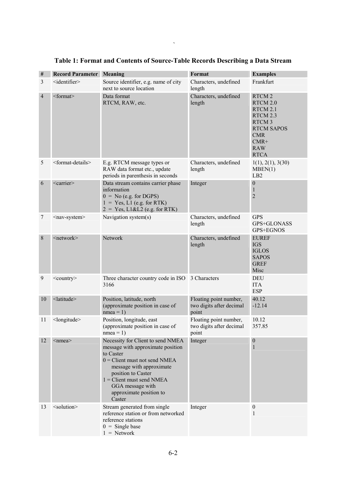| $\#$           | <b>Record Parameter Meaning</b>   |                                                                                                                                                                                                                                                                  | Format                                                      | <b>Examples</b>                                                                                                                                      |
|----------------|-----------------------------------|------------------------------------------------------------------------------------------------------------------------------------------------------------------------------------------------------------------------------------------------------------------|-------------------------------------------------------------|------------------------------------------------------------------------------------------------------------------------------------------------------|
| 3              | <identifier></identifier>         | Source identifier, e.g. name of city<br>next to source location                                                                                                                                                                                                  | Characters, undefined<br>length                             | Frankfurt                                                                                                                                            |
| $\overline{4}$ | <format></format>                 | Data format<br>RTCM, RAW, etc.                                                                                                                                                                                                                                   | Characters, undefined<br>length                             | RTCM <sub>2</sub><br>RTCM 2.0<br>RTCM 2.1<br>RTCM 2.3<br>RTCM <sub>3</sub><br><b>RTCM SAPOS</b><br><b>CMR</b><br>$CMR+$<br><b>RAW</b><br><b>RTCA</b> |
| 5              | <format-details></format-details> | E.g. RTCM message types or<br>RAW data format etc., update<br>periods in parenthesis in seconds                                                                                                                                                                  | Characters, undefined<br>length                             | 1(1), 2(1), 3(30)<br>MBEN(1)<br>LB <sub>2</sub>                                                                                                      |
| 6              | <carrier></carrier>               | Data stream contains carrier phase<br>information<br>$0 = No$ (e.g. for DGPS)<br>$1 = Yes, L1 (e.g. for RTK)$<br>$2 = Yes, L1&L2$ (e.g. for RTK)                                                                                                                 | Integer                                                     | $\boldsymbol{0}$<br>$\mathbf{1}$<br>$\overline{c}$                                                                                                   |
| 7              | <nav-system></nav-system>         | Navigation system(s)                                                                                                                                                                                                                                             | Characters, undefined<br>length                             | <b>GPS</b><br>GPS+GLONASS<br>GPS+EGNOS                                                                                                               |
| 8              | <network></network>               | Network                                                                                                                                                                                                                                                          | Characters, undefined<br>length                             | <b>EUREF</b><br><b>IGS</b><br><b>IGLOS</b><br><b>SAPOS</b><br><b>GREF</b><br>Misc                                                                    |
| 9              | <country></country>               | Three character country code in ISO 3 Characters<br>3166                                                                                                                                                                                                         |                                                             | <b>DEU</b><br><b>ITA</b><br><b>ESP</b>                                                                                                               |
| 10             | <latitude></latitude>             | Position, latitude, north<br>(approximate position in case of<br>$nmea = 1$                                                                                                                                                                                      | Floating point number,<br>two digits after decimal<br>point | 40.12<br>$-12.14$                                                                                                                                    |
| 11             | <longitude></longitude>           | Position, longitude, east<br>(approximate position in case of<br>$n$ mea = 1)                                                                                                                                                                                    | Floating point number,<br>two digits after decimal<br>point | 10.12<br>357.85                                                                                                                                      |
| 12             | $\le$ nmea $>$                    | Necessity for Client to send NMEA<br>message with approximate position<br>to Caster<br>$0 =$ Client must not send NMEA<br>message with approximate<br>position to Caster<br>$1 =$ Client must send NMEA<br>GGA message with<br>approximate position to<br>Caster | Integer                                                     | $\boldsymbol{0}$<br>1                                                                                                                                |
| 13             | <solution></solution>             | Stream generated from single<br>reference station or from networked<br>reference stations<br>$0 =$ Single base<br>$1 =$ Network                                                                                                                                  | Integer                                                     | $\boldsymbol{0}$<br>1                                                                                                                                |

**Table 1: Format and Contents of Source-Table Records Describing a Data Stream** 

the contract of the contract of the contract of the contract of the contract of the contract of the contract of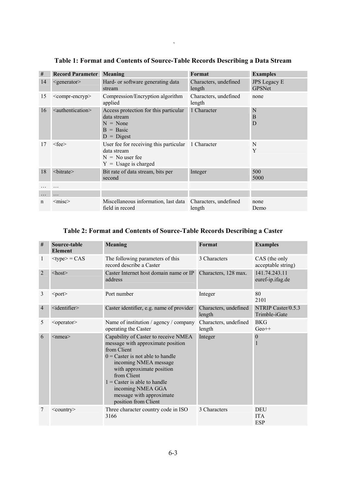| #  | <b>Record Parameter Meaning</b>   |                                                                                                      | Format                          | <b>Examples</b>                      |
|----|-----------------------------------|------------------------------------------------------------------------------------------------------|---------------------------------|--------------------------------------|
| 14 | <generator></generator>           | Hard- or software generating data<br>stream                                                          | Characters, undefined<br>length | <b>JPS</b> Legacy E<br><b>GPSNet</b> |
| 15 | <compr-encryp></compr-encryp>     | Compression/Encryption algorithm<br>applied                                                          | Characters, undefined<br>length | none                                 |
| 16 | <authentication></authentication> | Access protection for this particular<br>data stream<br>$N = None$<br>$B = Basic$<br>$D = Digest$    | 1 Character                     | N<br>B<br>D                          |
| 17 | $<$ fee $>$                       | User fee for receiving this particular<br>data stream<br>$N = No$ user fee<br>$Y =$ Usage is charged | 1 Character                     | N<br>Y                               |
| 18 | <br>bitrate>                      | Bit rate of data stream, bits per<br>second                                                          | Integer                         | 500<br>5000                          |
|    |                                   |                                                                                                      |                                 |                                      |
|    |                                   |                                                                                                      |                                 |                                      |
| n  | $<$ misc $>$                      | Miscellaneous information, last data<br>field in record                                              | Characters, undefined<br>length | none<br>Demo                         |

**Table 1: Format and Contents of Source-Table Records Describing a Data Stream** 

the contract of the contract of the contract of the contract of the contract of the contract of the contract of

### **Table 2: Format and Contents of Source-Table Records Describing a Caster**

| $\#$ | Source-table<br><b>Element</b> | <b>Meaning</b>                                                                                                                                                                                                                                                                                                 | Format                          | <b>Examples</b>                        |
|------|--------------------------------|----------------------------------------------------------------------------------------------------------------------------------------------------------------------------------------------------------------------------------------------------------------------------------------------------------------|---------------------------------|----------------------------------------|
| 1    | $<$ type $>$ = CAS             | The following parameters of this<br>record describe a Caster                                                                                                                                                                                                                                                   | 3 Characters                    | CAS (the only<br>acceptable string)    |
| 2    | $<$ host $>$                   | Caster Internet host domain name or IP<br>address                                                                                                                                                                                                                                                              | Characters, 128 max.            | 141.74.243.11<br>euref-ip.ifag.de      |
| 3    | <port></port>                  | Port number                                                                                                                                                                                                                                                                                                    | Integer                         | 80<br>2101                             |
| 4    | <identifier></identifier>      | Caster identifier, e.g. name of provider                                                                                                                                                                                                                                                                       | Characters, undefined<br>length | NTRIP Caster/0.5.3<br>Trimble-iGate    |
| 5    | <operator></operator>          | Name of institution / agency / company<br>operating the Caster                                                                                                                                                                                                                                                 | Characters, undefined<br>length | <b>BKG</b><br>$Geo++$                  |
| 6    | $\le$ nmea $>$                 | Capability of Caster to receive NMEA<br>message with approximate position<br>from Client<br>$0 =$ Caster is not able to handle<br>incoming NMEA message<br>with approximate position<br>from Client<br>$1 =$ Caster is able to handle<br>incoming NMEA GGA<br>message with approximate<br>position from Client | Integer                         | $\boldsymbol{0}$                       |
|      | $<$ country>                   | Three character country code in ISO<br>3166                                                                                                                                                                                                                                                                    | 3 Characters                    | <b>DEU</b><br><b>ITA</b><br><b>ESP</b> |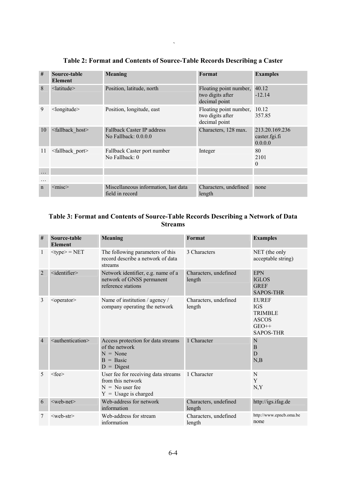| #        | Source-table<br><b>Element</b> | <b>Meaning</b>                                          | Format                                                            | <b>Examples</b>                            |
|----------|--------------------------------|---------------------------------------------------------|-------------------------------------------------------------------|--------------------------------------------|
| 8        | $\le$ latitude $\ge$           | Position, latitude, north                               | Floating point number,<br>two digits after<br>decimal point       | 40.12<br>$-12.14$                          |
| 9        | <longitude></longitude>        | Position, longitude, east                               | Floating point number, 10.12<br>two digits after<br>decimal point | 357.85                                     |
| 10       | <fallback host=""></fallback>  | Fallback Caster IP address<br>No Fallback: $0.0.0.0$    | Characters, 128 max.                                              | 213.20.169.236<br>caster.fgi.fi<br>0.0.0.0 |
| 11       | <fallback port=""></fallback>  | Fallback Caster port number<br>No Fallback: 0           | Integer                                                           | 80<br>2101<br>$\theta$                     |
| .        |                                |                                                         |                                                                   |                                            |
| $\ddots$ |                                |                                                         |                                                                   |                                            |
| n        | $\leq$ misc $\geq$             | Miscellaneous information, last data<br>field in record | Characters, undefined<br>length                                   | none                                       |

**Table 2: Format and Contents of Source-Table Records Describing a Caster** 

the contract of the contract of the contract of the contract of the contract of the contract of the contract of

### **Table 3: Format and Contents of Source-Table Records Describing a Network of Data Streams**

| $\#$           | Source-table<br><b>Element</b>    | <b>Meaning</b>                                                                                          | Format                          | <b>Examples</b>                                                                             |
|----------------|-----------------------------------|---------------------------------------------------------------------------------------------------------|---------------------------------|---------------------------------------------------------------------------------------------|
|                | $<$ type $>$ = NET                | The following parameters of this<br>record describe a network of data<br>streams                        | 3 Characters                    | NET (the only<br>acceptable string)                                                         |
| $\overline{2}$ | <identifier></identifier>         | Network identifier, e.g. name of a<br>network of GNSS permanent<br>reference stations                   | Characters, undefined<br>length | <b>EPN</b><br><b>IGLOS</b><br><b>GREF</b><br><b>SAPOS-THR</b>                               |
| 3              | <operator></operator>             | Name of institution / agency /<br>company operating the network                                         | Characters, undefined<br>length | <b>EUREF</b><br><b>IGS</b><br><b>TRIMBLE</b><br><b>ASCOS</b><br>$GEO++$<br><b>SAPOS-THR</b> |
| $\overline{4}$ | <authentication></authentication> | Access protection for data streams<br>of the network<br>$N = None$<br>$B = Basic$<br>$D = Digest$       | 1 Character                     | N<br>B<br>D<br>N,B                                                                          |
| 5              | $<$ fee $>$                       | User fee for receiving data streams<br>from this network<br>$N = No$ user fee<br>$Y =$ Usage is charged | 1 Character                     | N<br>Y<br>N, Y                                                                              |
| 6              | $\leq$ web-net $\geq$             | Web-address for network<br>information                                                                  | Characters, undefined<br>length | http://igs.ifag.de                                                                          |
|                | <web-str></web-str>               | Web-address for stream<br>information                                                                   | Characters, undefined<br>length | http://www.epncb.oma.be<br>none                                                             |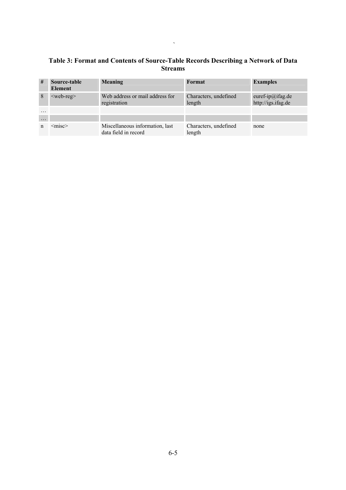| Table 3: Format and Contents of Source-Table Records Describing a Network of Data |
|-----------------------------------------------------------------------------------|
| <b>Streams</b>                                                                    |

 $\label{eq:1} \sum_{\mathbf{p} \in \mathcal{P}} \mathbb{E}_{\mathbf{p}} \left[ \mathbf{p} \right] \mathbf{p} \left( \mathbf{p} \right) = \mathbb{E}_{\mathbf{p}} \left[ \mathbf{p} \right]$ 

| #                   | Source-table<br><b>Element</b> | <b>Meaning</b>                                          | Format                          | <b>Examples</b>                                         |
|---------------------|--------------------------------|---------------------------------------------------------|---------------------------------|---------------------------------------------------------|
| 8                   | $<$ web-reg $>$                | Web address or mail address for<br>registration         | Characters, undefined<br>length | euref-ip $(\overline{a})$ ifag.de<br>http://igs.ifag.de |
| $\cdot \cdot \cdot$ |                                |                                                         |                                 |                                                         |
| .                   |                                |                                                         |                                 |                                                         |
| n                   | <misc></misc>                  | Miscellaneous information, last<br>data field in record | Characters, undefined<br>length | none                                                    |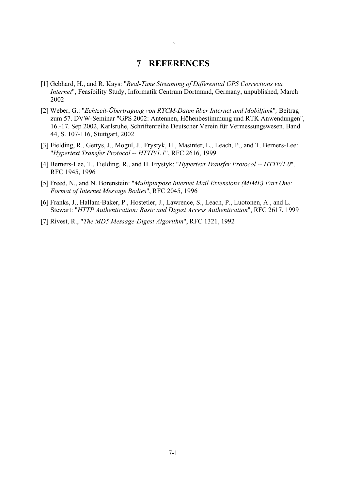### **7 REFERENCES**

- [1] Gebhard, H., and R. Kays: "*Real-Time Streaming of Differential GPS Corrections via Internet*", Feasibility Study, Informatik Centrum Dortmund, Germany, unpublished, March 2002
- [2] Weber, G.: "*Echtzeit-Übertragung von RTCM-Daten über Internet und Mobilfunk*"*,* Beitrag zum 57. DVW-Seminar "GPS 2002: Antennen, Höhenbestimmung und RTK Anwendungen", 16.-17. Sep 2002, Karlsruhe, Schriftenreihe Deutscher Verein für Vermessungswesen, Band 44, S. 107-116, Stuttgart, 2002
- [3] Fielding, R., Gettys, J., Mogul, J., Frystyk, H., Masinter, L., Leach, P., and T. Berners-Lee: "*Hypertext Transfer Protocol -- HTTP/1.1*", RFC 2616, 1999
- [4] Berners-Lee, T., Fielding, R., and H. Frystyk: "*Hypertext Transfer Protocol -- HTTP/1.0*"*,* RFC 1945, 1996
- [5] Freed, N., and N. Borenstein: "*Multipurpose Internet Mail Extensions (MIME) Part One: Format of Internet Message Bodies*", RFC 2045, 1996
- [6] Franks, J., Hallam-Baker, P., Hostetler, J., Lawrence, S., Leach, P., Luotonen, A., and L. Stewart: "*HTTP Authentication: Basic and Digest Access Authentication*", RFC 2617, 1999
- [7] Rivest, R., "*The MD5 Message-Digest Algorithm*", RFC 1321, 1992

the contract of the contract of the contract of the contract of the contract of the contract of the contract of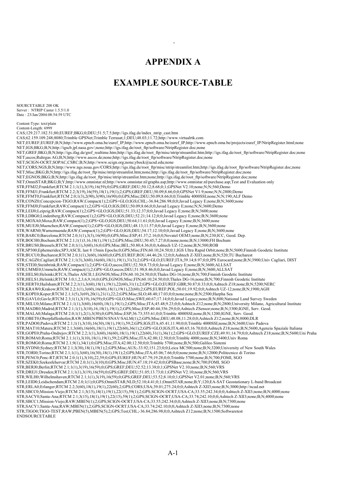### **APPENDIX A**

the contract of the contract of the contract of the contract of the contract of the contract of the contract of

### **EXAMPLE SOURCE-TABLE**

SOURCETABLE 200 OK Server : NTRIP Caster 1.5.5/1.0 Date : 23/Jan/2004:08:54:59 UTC

Content-Type: text/plain Content-Length: 6999<br>CAS;129.217.182.51;80;EUREF;BKG;0;DEU;51.5;7.5;http://igs.ifag.de/index\_ntrip\_cast.htm CAS;62.159.109.248;8080;Trimble GPSNet;Trimble Terrasat;1;DEU;48.03;11.72;http://www.virtualrtk.com NET;EUREF;EUREF;B;N;http://www.epncb.oma.be/euref\_IP;http://www.epncb.oma.be/euref\_IP;http://www.epncb.oma.be/projects/euref\_IP/NtripRegister.html;none NET;IGS;BKG;B;N;http://igscb.jpl.nasa.gov/;none;http://igs.ifag.de/root\_ftp/software/NtripRegister.doc;none NET;GREF;BKG;B;N;http://igs.ifag.de/gref\_realtime.htm;http://igs.ifag.de/root\_ftp/misc/ntrip/streamlist.htm;http://igs.ifag.de/root\_ftp/software/NtripRegister.doc;none NET;ascos;Ruhrgas AG;B;N;http://www.ascos.de;none;http://igs.ifag.de/root\_ftp/software/NtripRegister.doc;none NET;SCIGN-OCRT;SOPAC,CSRC;B;N;http://www.scign.org;none;ybock@ucsd.edu;none NET;CORS;NGS;B;N;http://www.ngs.noaa.gov/CORS;http://igs.ifag.de/root\_ftp/misc/ntrip/streamlist.htm;http://igs.ifag.de/root\_ftp/software/NtripRegister.doc;none NET;Misc;BKG;B;N;http://igs.ifag.de/root\_ftp/misc/ntrip/streamlist.htm;none;http://igs.ifag.de/root\_ftp/software/NtripRegister.doc;none NET;EGNOS;BKG;B;N;http://igs.ifag.de/root\_ftp/misc/ntrip/streamlist.htm;none;http://igs.ifag.de/root\_ftp/software/NtripRegister.doc;none NET;OmniSTAR;BKG;B;Y;http://www.omnistar.nl;http://www.omnistar.nl/graphs.asp;http://www.omnistar.nl/purchase.asp;Test and Evaluation only STR;FFMJ2;Frankfurt;RTCM 2.1;1(1),3(19),16(59);0;GPS;GREF;DEU;50.12;8.68;0;1;GPSNet V2.10;none;N;N;560;Demo STR;FFMJ1;Frankfurt;RTCM 2.2;3(19),16(59),18(1),19(1);2;GPS;GREF;DEU;50.09;8.66;0;0;GPSNet V1.9;none;N;N;2800;Demo STR;FFMT0;Frankfurt;RTCM 2.0;1(3),2(90),3(90),16(90);0;GPS;Misc;DEU;50.09;8.66;0;0;Trimble 4000SSI;none;N;N;190;ALF Demo STR;CONZ0;Concepcion-TIGO;RAW;Compact(1);2;GPS+GLO;IGS;CHL;-36.84;286.98;0;0;Javad Legacy E;none;B;N;3600;none STR;FFMJ0;Frankfurt;RAW;Compact(1);2;GPS+GLO;IGS;DEU;50.09;8.66;0;0;Javad Legacy E;none;N;N;3600;Demo STR;LEIJ0;Leipzig;RAW;Compact(1);2;GPS+GLO;IGS;DEU;51.33;12.37;0;0;Javad Legacy E;none;B;N;3600;none STR;LDBG0;Lindenberg;RAW;Compact(1);2;GPS+GLO;IGS;DEU;52.21;14.12;0;0;Javad Legacy E;none;B;N;3600;none STR;MOXA0;Moxa;RAW;Compact(1);2;GPS+GLO;IGS;DEU;50.64;11.61;0;0;Javad Legacy E;none;B;N;3600;none STR;MUEJ0;Muenchen;RAW;Compact(1);2;GPS+GLO;IGS;DEU;48.13;11.57;0;0;Javad Legacy E;none;B;N;3600;none STR;WARN0;Warnemuende;RAW;Compact(1);2;GPS+GLO;IGS;DEU;54.17;12.10;0;0;Javad Legacy E;none;B;N;3600;none STR;BARC0;Barcelona;RTCM 2.0;1(1),3(3),16(90);0;GPS;Misc;ESP;41.37;2.16;0;0;Novatel OEM3;none;B;N;230;ICC, Geod. Dep. STR;BOCH0;Bochum;RTCM 2.1;1(1)3,16,18(1),19(1);2;GPS;Misc;DEU;50.45;7.27;0;0;none;none;B;N;13000;FH Bochum STR;BRUS0;Brussels;RTCM 2.0;1(1),3(60),16;0;GPS;Misc;BEL;50.80;4.36;0;0;Ashtech UZ-12;none;B;N;500;ROB STR;SP300;Ephemerides;SP3;ASCII, last 8 15min Epochs;0;GPS;Misc;FIN;60.10;24.50;0;1;IGS Ultra Rapid Orbit;none;B;N;5600;Finnish Geodetic Institute STR;BUCU0;Bucharest;RTCM 2.0;1(1),3(60),16(60);0;GPS;EUREF;ROU;44.46;26.12;0;0;Ashtech Z-XII3;none;B;N;520;TU Bucharest STR;CAGZ0;Cagliari;RTCM 2.1;1(3),3(60),16(60),18(1),19(1),31(3);2;GPS+GLO;EUREF;ITA;39.14;8.97;0;0;JPS Eurocard;none;B;N;3900;Univ Cagliari, DIST STR;STEI0;Steinbrink;RAW;Compact(1);2;GPS+GLO;ascos;DEU;52.50;8.73;0;0;Javad Legacy E;none;B;N;3600;ALLSAT STR;UMME0;Ummeln;RAW;Compact(1);2;GPS+GLO;ascos;DEU;51.98;8.46;0;0;Javad Legacy E;none;B;N;3600;ALLSAT STR;HELS0;Helsinki;RTCA;Thales ASCII;1;EGNOS;Misc;FIN;60.10;24.50;0;0;Thales DG-16;none;B;N;700;Finnish Geodetic Institute STR;HELS1;Helsinki;RTCM 3.0;1,2,3,6,9,16;0;GPS,EGNOS;Misc;FIN;60.10;24.50;0;0;Thales DG-16;none;B;N;700;Finnish Geodetic Institute STR;HERT0;Hailsham;RTCM 2.2;1(1),3(60),18(1),19(1),22(60),31(1);2;GPS+GLO;EUREF;GBR;50.87;0.33;0;0;Ashtech Z18;none;B;N;5200;NERC STR;KRAW0;Krakow;RTCM 2.2;1(1),3(60),16(60),18(1),19(1),22(60);2;GPS;EUREF;POL;50.01;19.92;0;0;Ashtech UZ-12;none;B;N;1900;AGH STR;KOPE0;Koper;RTCM 2.1;1(5),3(69),20(1),21(1),22;2;GPS;Misc;SLO;48.40;17.03;0;0;none;none;B;N;2500;Harpha Sea STR;GAVL0;Gavle;RTCM 2.3;1(1),3(19),16(59);0;GPS+GLO;Misc;SWE;60.67;17.14;0;0;Javad Legacy;none;B;N;800;National Land Survey Sweden STR;MILU0;Milano;RTCM 2.1;1(1),3(60),16(60),18(1),19(1);2;GPS;Misc;ITA;45.48;9.23;0;0;Ashtech Z12;none;B;N;2800;University Milano, Agricultural Institute STR;MADR0;Madrid;RTCM 2.1;1(1),3(10),16,18(1),19(1);2;GPS;Misc;ESP;40.44;356.29;0;0;Ashtech ZSensor;none;B;N;3300;IGNE, Serv. Geod. STR;MALA0;Malaga;RTCM 2.0;1(1),2(1),3(30);0;GPS;Misc;ESP;36.73;355.61;0;0;Trimble 4000SSI;none;B;N;1200;IGNE, Serv. Geod. STR;OBET0;Oberpfaffenhofen;RAW;MBEN/PBEN/SNAV/SALM(1);2;GPS;Misc;DEU;48.08;11.28;0;0;Ashtech Z12;none;B;N;8000;DLR STR;PADO0;Padova;RTCM 2.1;1(1),3(10),16(30),18(1),19(1),59;2;GPS;IGS;ITA;45.41;11.90;0;0;Trimble 4000SSI;none;B;N;3600;Univ Padova STR;MAT10;Matera;RTCM 2.1;3(60),16(60),18(1),19(1),22(60),36(1);2;GPS+GLO;IGS;ITA;40.65;16.70;0;0;Ashtech Z18;none;B;N;5600;Agenzia Spaziale Italiana STR;GOPE0;Praha-Ondrejov;RTCM 2.2;1(1),3(60),16(60),18(1),19(1),22(60),31(1),36(1);2;GPS+GLO;EUREF;CZE;49.91;14.79;0;0;Ashtech Z18;none;B;N;5600;Uni Praha STR;ROMA0;Roma;RTCM 2.1;1(1),3(10),18(1),19(1),59;2;GPS;Misc;ITA;42.00;12.50;0;0;Trimble 4000;none;B;N;3400;Univ Roma STR;ROMG0;Roma;RTCM 2.1;9(1),34(1);0;GPS;Misc;ITA;42.00;12.50;0;0;Trimble 5700;none;B;N;500;Galileo Sistemi STR;SYDN0;Sydney;RTCM 2.1;3(30),18(1),19(1);2;GPS;Misc;AUS;-33.92;151.23;0;0;Leica MC500;none;B;N;3200;University of New South Wales STR;TORI0;Torino;RTCM 2.1;1(1),3(60),16(30),18(1),19(1);2;GPS;Misc;ITA;45.06;7.66;0;0;none;none;B;N;12000;Politecnico di Torino STR;PENC0;Penc-RT;RTCM 2.0;1(1),3(10),22,59;0;GPS;EUREF;HUN;47.79;19.28;0;0;Trimble 5700;none;B;N;700;FOMI, SGO STR;SZEK0;Szekesfehervar;RTCM 2.0;1(1),3(10);0;GPS;Misc;HUN;47.18;19.42;0;0;GPSBase;none;B;N;700;FOMI, SGO STR;BERJ0;Berlin;RTCM 2.1;1(1),3(19),16(59);0;GPS;GREF;DEU;52.52;13.38;0;1;GPSNet V2.10;none;B;N;560;VRS STR;DREJ1;Dresden;RTCM 2.1;1(1),3(19),16(59);0;GPS;GREF;DEU;51.05;13.73;0;1;GPSNet V2.10;none;B;N;560;VRS STR;WILH0;Wilhelmshaven;RTCM 2.1;1(1),3(19),16(59);0;GPS;GREF;DEU;53.52;8.10;0;1;GPSNet V2.01;none;B;N;560;VRS STR;LEID0;Leidschendam;RTCM 2.0;1(1);0;GPS;OmniSTAR;NLD;52.10;4.41;0;1;OmniSTAR;none;B;Y;120;EA-SAT Geostationary L-band Broadcast STR;ERLA0;Erlanger;RTCM 2.2;3(60),18(1),19(1),22(60);2;GPS;CORS;USA;39.01;275.24;0;0;Ashtech Z-XII3;none;B;N;3000;http://ncad.net STR;SBCC0;Mission-Viejo;RTCM 2.1;3(15),18(1),19(1),22(15),59(1);2;GPS;SCIGN-OCRT;USA-CA;33.55;242.34;0;0;Ashtech Z-XII3;none;B;N;4000;none STR;SACY0;Santa-Ana;RTCM 2.1;3(15),18(1),19(1),22(15),59(1);2;GPS;SCIGN-OCRT;USA-CA;33.74;242.10;0;0;Ashtech Z-XII3;none;B;N;4000;none STR;SBCC1;Mission-Viejo;RAW;MBEN(1);2;GPS;SCIGN-OCRT;USA-CA;33.55;242.34;0;0;Ashtech Z-XII3;none;B;N;7300;none STR;SACY1;Santa-Ana;RAW;MBEN(1);2;GPS;SCIGN-OCRT;USA-CA;33.74;242.10;0;0;Ashtech Z-XII3;none;B;N;7300;none STR;TIGO0;TIGO-TEST;RAW;PBEN(5),MBEN(5);2;GPS;Test;CHL;-36.84;286.98;0;0;Ashtech Z12;none;B;N;1500;Softwaretest ENDSOURCETABLE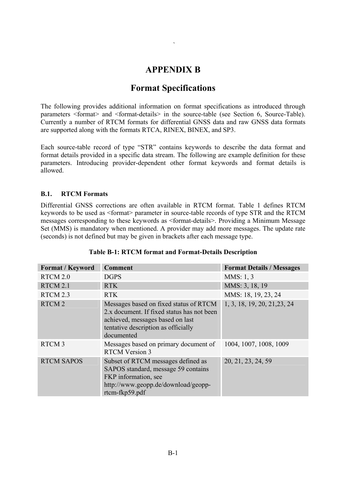## **APPENDIX B**

## **Format Specifications**

The following provides additional information on format specifications as introduced through parameters <format> and <format-details> in the source-table (see Section 6, Source-Table). Currently a number of RTCM formats for differential GNSS data and raw GNSS data formats are supported along with the formats RTCA, RINEX, BINEX, and SP3.

Each source-table record of type "STR" contains keywords to describe the data format and format details provided in a specific data stream. The following are example definition for these parameters. Introducing provider-dependent other format keywords and format details is allowed.

#### **B.1. RTCM Formats**

the contract of the contract of the contract of the contract of the contract of the contract of the contract of

Differential GNSS corrections are often available in RTCM format. Table 1 defines RTCM keywords to be used as <format> parameter in source-table records of type STR and the RTCM messages corresponding to these keywords as <format-details>. Providing a Minimum Message Set (MMS) is mandatory when mentioned. A provider may add more messages. The update rate (seconds) is not defined but may be given in brackets after each message type.

| Format / Keyword  | <b>Comment</b>                                                                                                                                                                | <b>Format Details / Messages</b> |
|-------------------|-------------------------------------------------------------------------------------------------------------------------------------------------------------------------------|----------------------------------|
| RTCM 2.0          | <b>DGPS</b>                                                                                                                                                                   | MMS: 1, 3                        |
| RTCM 2.1          | <b>RTK</b>                                                                                                                                                                    | MMS: 3, 18, 19                   |
| RTCM 2.3          | <b>RTK</b>                                                                                                                                                                    | MMS: 18, 19, 23, 24              |
| RTCM <sub>2</sub> | Messages based on fixed status of RTCM<br>2.x document. If fixed status has not been<br>achieved, messages based on last<br>tentative description as officially<br>documented | 1, 3, 18, 19, 20, 21, 23, 24     |
| <b>RTCM3</b>      | Messages based on primary document of<br><b>RTCM Version 3</b>                                                                                                                | 1004, 1007, 1008, 1009           |
| <b>RTCM SAPOS</b> | Subset of RTCM messages defined as<br>SAPOS standard, message 59 contains<br>FKP information, see<br>http://www.geopp.de/download/geopp-<br>rtcm-fkp59.pdf                    | 20, 21, 23, 24, 59               |

### **Table B-1: RTCM format and Format-Details Description**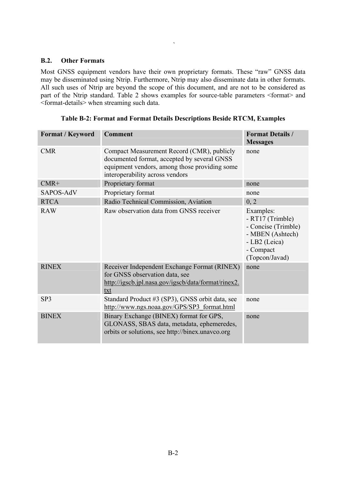#### **B.2. Other Formats**

the contract of the contract of the contract of the contract of the contract of the contract of the contract of

Most GNSS equipment vendors have their own proprietary formats. These "raw" GNSS data may be disseminated using Ntrip. Furthermore, Ntrip may also disseminate data in other formats. All such uses of Ntrip are beyond the scope of this document, and are not to be considered as part of the Ntrip standard. Table 2 shows examples for source-table parameters <format> and <format-details> when streaming such data.

| Format / Keyword | <b>Comment</b>                                                                                                                                                                | <b>Format Details /</b><br><b>Messages</b>                                                                               |
|------------------|-------------------------------------------------------------------------------------------------------------------------------------------------------------------------------|--------------------------------------------------------------------------------------------------------------------------|
| <b>CMR</b>       | Compact Measurement Record (CMR), publicly<br>documented format, accepted by several GNSS<br>equipment vendors, among those providing some<br>interoperability across vendors | none                                                                                                                     |
| $CMR+$           | Proprietary format                                                                                                                                                            | none                                                                                                                     |
| SAPOS-AdV        | Proprietary format                                                                                                                                                            | none                                                                                                                     |
| <b>RTCA</b>      | Radio Technical Commission, Aviation                                                                                                                                          | 0, 2                                                                                                                     |
| <b>RAW</b>       | Raw observation data from GNSS receiver                                                                                                                                       | Examples:<br>- RT17 (Trimble)<br>- Concise (Trimble)<br>- MBEN (Ashtech)<br>- LB2 (Leica)<br>- Compact<br>(Topcon/Javad) |
| <b>RINEX</b>     | Receiver Independent Exchange Format (RINEX)<br>for GNSS observation data, see<br>http://igscb.jpl.nasa.gov/igscb/data/format/rinex2.<br>txt                                  | none                                                                                                                     |
| SP <sub>3</sub>  | Standard Product #3 (SP3), GNSS orbit data, see<br>http://www.ngs.noaa.gov/GPS/SP3 format.html                                                                                | none                                                                                                                     |
| <b>BINEX</b>     | Binary Exchange (BINEX) format for GPS,<br>GLONASS, SBAS data, metadata, ephemeredes,<br>orbits or solutions, see http://binex.unavco.org                                     | none                                                                                                                     |

**Table B-2: Format and Format Details Descriptions Beside RTCM, Examples**